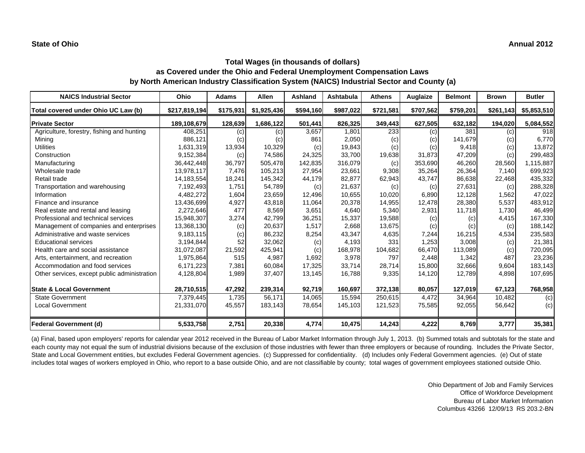| <b>NAICS Industrial Sector</b>               | Ohio          | <b>Adams</b> | <b>Allen</b> | Ashland   | Ashtabula | <b>Athens</b> | Auglaize  | <b>Belmont</b> | <b>Brown</b> | <b>Butler</b> |
|----------------------------------------------|---------------|--------------|--------------|-----------|-----------|---------------|-----------|----------------|--------------|---------------|
| Total covered under Ohio UC Law (b)          | \$217,819,194 | \$175,931    | \$1,925,436  | \$594,160 | \$987,022 | \$721,581     | \$707,562 | \$759,201      | \$261,143    | \$5,853,510   |
| <b>Private Sector</b>                        | 189,108,679   | 128,639      | 1,686,122    | 501,441   | 826,325   | 349,443       | 627,505   | 632,182        | 194,020      | 5,084,552     |
| Agriculture, forestry, fishing and hunting   | 408,251       | (c)          | (c)          | 3,657     | 1.801     | 233           | (c)       | 381            | (c)          | 918           |
| Mining                                       | 886,121       | (c)          | (c)          | 861       | 2,050     | (c)           | (c)       | 141,679        | (c)          | 6,770         |
| <b>Utilities</b>                             | 1,631,319     | 13,934       | 10,329       | (c)       | 19,843    | (c)           | (c)       | 9,418          | (c)          | 13,872        |
| Construction                                 | 9,152,384     | (c)          | 74,586       | 24,325    | 33,700    | 19,638        | 31,873    | 47,209         | (c)          | 299,483       |
| Manufacturing                                | 36,442,448    | 36,797       | 505,478      | 142,835   | 316.079   | (c)           | 353,690   | 46.260         | 28,560       | 1,115,887     |
| Wholesale trade                              | 13,978,117    | 7,476        | 105,213      | 27,954    | 23,661    | 9,308         | 35,264    | 26,364         | 7,140        | 699,923       |
| Retail trade                                 | 14,183,554    | 18,241       | 145,342      | 44,179    | 82,877    | 62,943        | 43,747    | 86,638         | 22,468       | 435,332       |
| Transportation and warehousing               | 7,192,493     | 1,751        | 54,789       | (c)       | 21,637    | (c)           | (c)       | 27,631         | (c)          | 288,328       |
| Information                                  | 4,482,272     | 1,604        | 23,659       | 12,496    | 10,655    | 10,020        | 6,890     | 12,128         | 1,562        | 47,022        |
| Finance and insurance                        | 13,436,699    | 4,927        | 43,818       | 11,064    | 20,378    | 14,955        | 12,478    | 28,380         | 5,537        | 483,912       |
| Real estate and rental and leasing           | 2,272,646     | 477          | 8,569        | 3,651     | 4,640     | 5,340         | 2,931     | 11,718         | 1,730        | 46,499        |
| Professional and technical services          | 15,948,307    | 3,274        | 42,799       | 36,251    | 15,337    | 19,588        | (c)       | (c)            | 4,415        | 167,330       |
| Management of companies and enterprises      | 13,368,130    | (c)          | 20,637       | 1,517     | 2,668     | 13,675        | (c)       | (c)            | (c)          | 188,142       |
| Administrative and waste services            | 9,183,115     | (c)          | 86,232       | 8,254     | 43,347    | 4,635         | 7,244     | 16,215         | 4,534        | 235,583       |
| <b>Educational services</b>                  | 3,194,844     | 52           | 32,062       | (c)       | 4,193     | 331           | 1,253     | 3.008          | (c)          | 21,381        |
| Health care and social assistance            | 31,072,087    | 21,592       | 425,941      | (c)       | 168,978   | 104,682       | 66,470    | 113,089        | (c)          | 720,095       |
| Arts, entertainment, and recreation          | 1,975,864     | 515          | 4,987        | 1,692     | 3,978     | 797           | 2,448     | 1,342          | 487          | 23,236        |
| Accommodation and food services              | 6,171,223     | 7,381        | 60,084       | 17,325    | 33,714    | 28,714        | 15,800    | 32,666         | 9,604        | 183,143       |
| Other services, except public administration | 4,128,804     | 1,989        | 37,407       | 13,145    | 16,788    | 9,335         | 14,120    | 12,789         | 4,898        | 107,695       |
| <b>State &amp; Local Government</b>          | 28,710,515    | 47,292       | 239,314      | 92,719    | 160,697   | 372,138       | 80,057    | 127,019        | 67,123       | 768,958       |
| <b>State Government</b>                      | 7,379,445     | 1,735        | 56,171       | 14,065    | 15,594    | 250,615       | 4,472     | 34,964         | 10,482       | (c)           |
| Local Government                             | 21,331,070    | 45,557       | 183,143      | 78,654    | 145,103   | 121,523       | 75,585    | 92,055         | 56,642       | (c)           |
| <b>Federal Government (d)</b>                | 5,533,758     | 2,751        | 20,338       | 4,774     | 10,475    | 14,243        | 4,222     | 8,769          | 3,777        | 35,381        |

(a) Final, based upon employers' reports for calendar year 2012 received in the Bureau of Labor Market Information through July 1, 2013. (b) Summed totals and subtotals for the state and each county may not equal the sum of industrial divisions because of the exclusion of those industries with fewer than three employers or because of rounding. Includes the Private Sector, State and Local Government entities, but excludes Federal Government agencies. (c) Suppressed for confidentiality. (d) Includes only Federal Government agencies. (e) Out of state includes total wages of workers employed in Ohio, who report to a base outside Ohio, and are not classifiable by county; total wages of government employees stationed outside Ohio.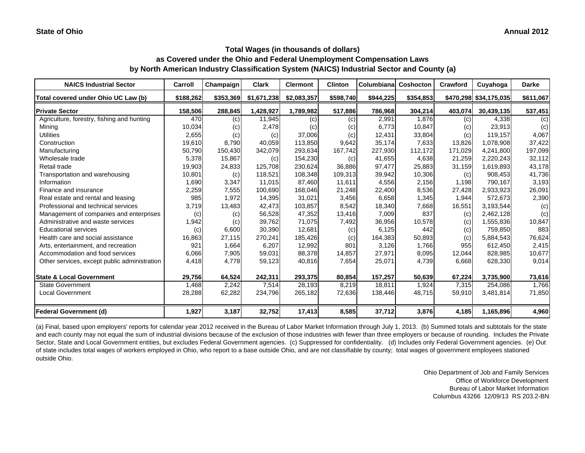| <b>NAICS Industrial Sector</b>               | Carroll   | Champaign | <b>Clark</b> | <b>Clermont</b> | <b>Clinton</b> | <b>Columbiana</b> | Coshocton | <b>Crawford</b> | Cuyahoga               | <b>Darke</b> |
|----------------------------------------------|-----------|-----------|--------------|-----------------|----------------|-------------------|-----------|-----------------|------------------------|--------------|
| Total covered under Ohio UC Law (b)          | \$188,262 | \$353,369 | \$1,671,238  | \$2,083,357     | \$598,740      | \$944,225         | \$354,853 |                 | \$470,298 \$34,175,035 | \$611,067    |
| <b>Private Sector</b>                        | 158,506   | 288,845   | 1,428,927    | 1,789,982       | 517,886        | 786,968           | 304,214   | 403,074         | 30,439,135             | 537,451      |
| Agriculture, forestry, fishing and hunting   | 470       | (c)       | 11,945       | (c)             | (c)            | 2,991             | 1.876     | (c)             | 4,338                  | (c)          |
| Mining                                       | 10,034    | (c)       | 2,478        | (c)             | (c)            | 6,773             | 10,847    | (c)             | 23,913                 | (c)          |
| <b>Utilities</b>                             | 2,655     | (c)       | (c)          | 37,006          | (c)            | 12,431            | 33,804    | (c)             | 119,157                | 4,067        |
| Construction                                 | 19,610    | 8,790     | 40,059       | 113.850         | 9,642          | 35,174            | 7,633     | 13,826          | 1.078.908              | 37,422       |
| Manufacturing                                | 50,790    | 150,430   | 342,079      | 293,634         | 167,742        | 227,930           | 112,172   | 171,029         | 4,241,800              | 197,099      |
| Wholesale trade                              | 5,378     | 15,867    | (c)          | 154,230         | (c)            | 41,655            | 4,638     | 21,259          | 2,220,243              | 32,112       |
| Retail trade                                 | 19,903    | 24,833    | 125,708      | 230,624         | 36,886         | 97,477            | 25,883    | 31,159          | 1,619,893              | 43,178       |
| Transportation and warehousing               | 10,801    | (c)       | 118,521      | 108,348         | 109,313        | 39,942            | 10,306    | (c)             | 908,453                | 41,736       |
| Information                                  | 1,690     | 3,347     | 11,015       | 87,460          | 11,611         | 4,556             | 2,156     | 1,198           | 790,167                | 3,193        |
| Finance and insurance                        | 2,259     | 7,555     | 100,690      | 168,046         | 21,248         | 22,400            | 8,536     | 27,428          | 2,933,923              | 26,091       |
| Real estate and rental and leasing           | 985       | 1,972     | 14,395       | 31,021          | 3,456          | 6,658             | 1,345     | 1,944           | 572,673                | 2,390        |
| Professional and technical services          | 3,719     | 13,483    | 42,473       | 103,857         | 8,542          | 18,340            | 7,668     | 16,551          | 3,193,544              | (c)          |
| Management of companies and enterprises      | (c)       | (c)       | 56,528       | 47,352          | 13,416         | 7,009             | 837       | (c)             | 2,462,128              | (c)          |
| Administrative and waste services            | 1,942     | (c)       | 39,762       | 71,075          | 7,492          | 36,956            | 10,578    | (c)             | 1,555,836              | 10,847       |
| <b>Educational services</b>                  | (c)       | 6,600     | 30,390       | 12,681          | (c)            | 6,125             | 442       | (c)             | 759,850                | 883          |
| Health care and social assistance            | 16,863    | 27,115    | 270,241      | 185,426         | (c)            | 164,383           | 50,893    | (c)             | 5,884,543              | 76,624       |
| Arts, entertainment, and recreation          | 921       | 1,664     | 6,207        | 12,992          | 801            | 3,126             | 1.766     | 955             | 612,450                | 2,415        |
| Accommodation and food services              | 6,066     | 7,905     | 59,031       | 88,378          | 14,857         | 27,971            | 8,095     | 12,044          | 828,985                | 10,677       |
| Other services, except public administration | 4,418     | 4,778     | 59,123       | 40,816          | 7,654          | 25,071            | 4,739     | 6,668           | 628,330                | 9,014        |
| <b>State &amp; Local Government</b>          | 29,756    | 64,524    | 242,311      | 293,375         | 80,854         | 157,257           | 50,639    | 67,224          | 3,735,900              | 73,616       |
| <b>State Government</b>                      | 1,468     | 2,242     | 7,514        | 28,193          | 8,219          | 18,811            | 1,924     | 7,315           | 254,086                | 1,766        |
| <b>Local Government</b>                      | 28,288    | 62,282    | 234,796      | 265,182         | 72,636         | 138,446           | 48,715    | 59,910          | 3,481,814              | 71,850       |
| <b>Federal Government (d)</b>                | 1,927     | 3,187     | 32,752       | 17,413          | 8,585          | 37,712            | 3,876     | 4,185           | 1,165,896              | 4,960        |

(a) Final, based upon employers' reports for calendar year 2012 received in the Bureau of Labor Market Information through July 1, 2013. (b) Summed totals and subtotals for the state and each county may not equal the sum of industrial divisions because of the exclusion of those industries with fewer than three employers or because of rounding. Includes the Private Sector, State and Local Government entities, but excludes Federal Government agencies. (c) Suppressed for confidentiality. (d) Includes only Federal Government agencies. (e) Out of state includes total wages of workers employed in Ohio, who report to a base outside Ohio, and are not classifiable by county; total wages of government employees stationed outside Ohio.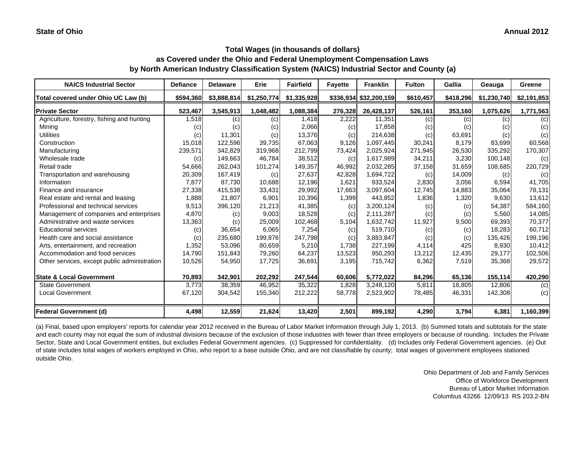| <b>NAICS Industrial Sector</b>               | <b>Defiance</b> | <b>Delaware</b> | <b>Erie</b> | <b>Fairfield</b> | <b>Fayette</b> | <b>Franklin</b>        | <b>Fulton</b> | Gallia    | Geauga      | Greene      |
|----------------------------------------------|-----------------|-----------------|-------------|------------------|----------------|------------------------|---------------|-----------|-------------|-------------|
| Total covered under Ohio UC Law (b)          | \$594.360       | \$3,888,814     | \$1,250,774 | \$1,335,928      |                | \$336,934 \$32,200,159 | \$610,457     | \$418,296 | \$1,230,740 | \$2,191,853 |
| <b>Private Sector</b>                        | 523.467         | 3,545,913       | 1,048,482   | 1,088,384        | 276,328        | 26,428,137             | 526.161       | 353,160   | 1,075,626   | 1,771,563   |
| Agriculture, forestry, fishing and hunting   | 1,518           | (c)             | (c)         | 1,418            | 2,222          | 11,351                 | (c)           | (c)       | (c)         | (c)         |
| Mining                                       | (c)             | (c)             | (c)         | 2,066            | (c)            | 17,858                 | (c)           | (c)       | (c)         | (c)         |
| <b>Utilities</b>                             | (c)             | 11,301          | (c)         | 13,376           | (c)            | 214,638                | (c)           | 63,691    | (c)         | (c)         |
| Construction                                 | 15,018          | 122.596         | 39,735      | 67,063           | 9,126          | 1.097.445              | 30,241        | 8.179     | 83.699      | 60,568      |
| Manufacturing                                | 239,571         | 342,829         | 319,968     | 212,799          | 73,424         | 2,025,924              | 271,945       | 26,530    | 335,292     | 170,307     |
| Wholesale trade                              | (c)             | 149,663         | 46,784      | 38,512           | (c)            | 1,617,989              | 34,211        | 3,230     | 100,148     | (c)         |
| Retail trade                                 | 54,666          | 262,043         | 101,274     | 149,357          | 46,992         | 2,032,285              | 37,158        | 31,659    | 108,685     | 220,729     |
| Transportation and warehousing               | 20,309          | 167,419         | (c)         | 27,637           | 42,828         | 1,694,722              | (c)           | 14,009    | (c)         | (c)         |
| Information                                  | 7,877           | 87,730          | 10,688      | 12,196           | 1,621          | 933,524                | 2,830         | 3,056     | 6,594       | 41,705      |
| Finance and insurance                        | 27,338          | 415,538         | 33,431      | 29,992           | 17,663         | 3,097,604              | 12,745        | 14,883    | 35,064      | 78,131      |
| Real estate and rental and leasing           | 1,888           | 21,807          | 6,901       | 10,396           | 1,399          | 443,852                | 1,836         | 1,320     | 9,630       | 13,612      |
| Professional and technical services          | 9,513           | 396,120         | 21,213      | 41,385           | (c)            | 3,200,124              | (c)           | (c)       | 54,387      | 584,160     |
| Management of companies and enterprises      | 4,870           | (c)             | 9,003       | 18,528           | (c)            | 2,111,287              | (c)           | (c)       | 5,560       | 14,085      |
| Administrative and waste services            | 13,363          | (c)             | 25,009      | 102,468          | 5,104          | 1,632,742              | 11,927        | 9,500     | 69,393      | 70,377      |
| <b>Educational services</b>                  | (c)             | 36,654          | 6,065       | 7,254            | (c)            | 519,710                | (c)           | (c)       | 18,283      | 60,712      |
| Health care and social assistance            | (c)             | 235,680         | 199,876     | 247,798          | (c)            | 3,883,847              | (c)           | (c)       | 135,426     | 199,196     |
| Arts, entertainment, and recreation          | 1,352           | 53,096          | 80,659      | 5,210            | 1.738          | 227,199                | 4,114         | 425       | 8,930       | 10,412      |
| Accommodation and food services              | 14,790          | 151,843         | 79,260      | 64,237           | 13,523         | 950,293                | 13,212        | 12,435    | 29,177      | 102,506     |
| Other services, except public administration | 10,526          | 54,950          | 17,725      | 36,691           | 3,195          | 715,742                | 6,362         | 7,519     | 35,368      | 29,572      |
| <b>State &amp; Local Government</b>          | 70,893          | 342,901         | 202,292     | 247,544          | 60,606         | 5,772,022              | 84,296        | 65,136    | 155,114     | 420,290     |
| <b>State Government</b>                      | 3,773           | 38,359          | 46,952      | 35,322           | 1,828          | 3,248,120              | 5,811         | 18,805    | 12,806      | (c)         |
| <b>Local Government</b>                      | 67,120          | 304,542         | 155,340     | 212,222          | 58,778         | 2,523,902              | 78,485        | 46,331    | 142,308     | (c)         |
| <b>Federal Government (d)</b>                | 4,498           | 12,559          | 21,624      | 13,420           | 2,501          | 899,192                | 4,290         | 3,794     | 6,381       | 1,160,399   |

(a) Final, based upon employers' reports for calendar year 2012 received in the Bureau of Labor Market Information through July 1, 2013. (b) Summed totals and subtotals for the state and each county may not equal the sum of industrial divisions because of the exclusion of those industries with fewer than three employers or because of rounding. Includes the Private Sector, State and Local Government entities, but excludes Federal Government agencies. (c) Suppressed for confidentiality. (d) Includes only Federal Government agencies. (e) Out of state includes total wages of workers employed in Ohio, who report to a base outside Ohio, and are not classifiable by county; total wages of government employees stationed outside Ohio.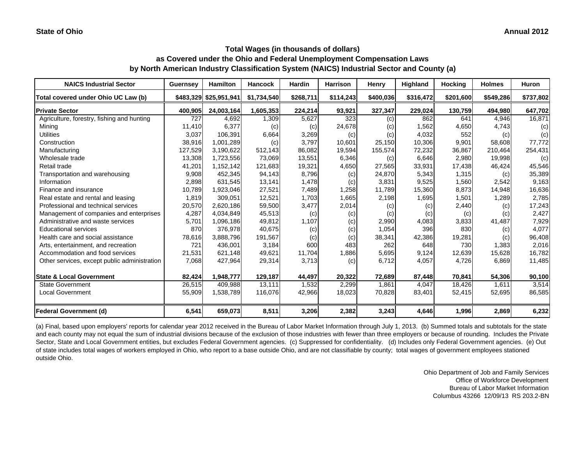### **Annual 2012**

## **Total Wages (in thousands of dollars) as Covered under the Ohio and Federal Unemployment Compensation Laws by North American Industry Classification System (NAICS) Industrial Sector and County (a)**

| <b>NAICS Industrial Sector</b>               | <b>Guernsey</b> | <b>Hamilton</b>        | <b>Hancock</b> | <b>Hardin</b> | <b>Harrison</b> | Henry     | Highland  | <b>Hocking</b> | <b>Holmes</b> | <b>Huron</b> |
|----------------------------------------------|-----------------|------------------------|----------------|---------------|-----------------|-----------|-----------|----------------|---------------|--------------|
| Total covered under Ohio UC Law (b)          |                 | \$483,329 \$25,951,941 | \$1,734,540    | \$268,711     | \$114,243       | \$400,036 | \$316,472 | \$201,600      | \$549,286     | \$737,802    |
| <b>Private Sector</b>                        | 400,905         | 24,003,164             | 1,605,353      | 224,214       | 93,921          | 327,347   | 229,024   | 130,759        | 494,980       | 647,702      |
| Agriculture, forestry, fishing and hunting   | 727             | 4,692                  | 1,309          | 5,627         | 323             | (c)       | 862       | 641            | 4.946         | 16,871       |
| Mining                                       | 11,410          | 6,377                  | (c)            | (c)           | 24,678          | (c)       | 1,562     | 4,650          | 4.743         | (c)          |
| <b>Utilities</b>                             | 3,037           | 106,391                | 6,664          | 3,269         | (c)             | (c)       | 4,032     | 552            | (c)           | (c)          |
| Construction                                 | 38,916          | 1,001,289              | (c)            | 3,797         | 10,601          | 25,150    | 10,306    | 9,901          | 58,608        | 77,772       |
| Manufacturing                                | 127,529         | 3,190,622              | 512,143        | 86,082        | 19,594          | 155,574   | 72,232    | 36,867         | 210,464       | 254,431      |
| Wholesale trade                              | 13,308          | 1,723,556              | 73,069         | 13,551        | 6,346           | (c)       | 6,646     | 2,980          | 19,998        | (c)          |
| Retail trade                                 | 41,201          | 1,152,142              | 121,683        | 19,321        | 4,650           | 27,565    | 33,931    | 17,438         | 46,424        | 45,546       |
| Transportation and warehousing               | 9,908           | 452.345                | 94,143         | 8,796         | (c)             | 24,870    | 5,343     | 1,315          | (c)           | 35,389       |
| Information                                  | 2,898           | 631,545                | 13,141         | 1,478         | (c)             | 3,831     | 9,525     | 1,560          | 2,542         | 9,163        |
| Finance and insurance                        | 10,789          | 1,923,046              | 27,521         | 7,489         | 1,258           | 11,789    | 15,360    | 8,873          | 14,948        | 16,636       |
| Real estate and rental and leasing           | 1,819           | 309,051                | 12,521         | 1,703         | 1,665           | 2,198     | 1,695     | 1,501          | 1,289         | 2,785        |
| Professional and technical services          | 20,570          | 2,620,186              | 59,500         | 3,477         | 2,014           | (c)       | (c)       | 2,440          | (c)           | 17,243       |
| Management of companies and enterprises      | 4,287           | 4,034,849              | 45,513         | (c)           | (c)             | (c)       | (c)       | (c)            | (c)           | 2,427        |
| Administrative and waste services            | 5,701           | 1,096,186              | 49,812         | 1,107         | (c)             | 2,990     | 4,083     | 3,833          | 41,487        | 7,929        |
| <b>Educational services</b>                  | 870             | 376,978                | 40,675         | (c)           | (c)             | 1,054     | 396       | 830            | (c)           | 4,077        |
| Health care and social assistance            | 78,616          | 3,888,796              | 191,567        | (c)           | (c)             | 38,341    | 42,386    | 19,281         | (c)           | 96,408       |
| Arts, entertainment, and recreation          | 721             | 436,001                | 3,184          | 600           | 483             | 262       | 648       | 730            | 1,383         | 2,016        |
| Accommodation and food services              | 21,531          | 621,148                | 49,621         | 11,704        | 1,886           | 5,695     | 9,124     | 12,639         | 15,628        | 16,782       |
| Other services, except public administration | 7,068           | 427,964                | 29,314         | 3,713         | (c)             | 6,712     | 4,057     | 4,726          | 6,869         | 11,485       |
| <b>State &amp; Local Government</b>          | 82,424          | 1,948,777              | 129,187        | 44,497        | 20,322          | 72,689    | 87,448    | 70,841         | 54,306        | 90,100       |
| <b>State Government</b>                      | 26,515          | 409,988                | 13,111         | 1,532         | 2,299           | 1,861     | 4,047     | 18,426         | 1,611         | 3,514        |
| Local Government                             | 55,909          | 1,538,789              | 116,076        | 42,966        | 18,023          | 70,828    | 83,401    | 52,415         | 52,695        | 86,585       |
| <b>Federal Government (d)</b>                | 6,541           | 659,073                | 8,511          | 3,206         | 2,382           | 3,243     | 4,646     | 1,996          | 2,869         | 6,232        |

(a) Final, based upon employers' reports for calendar year 2012 received in the Bureau of Labor Market Information through July 1, 2013. (b) Summed totals and subtotals for the state and each county may not equal the sum of industrial divisions because of the exclusion of those industries with fewer than three employers or because of rounding. Includes the Private Sector, State and Local Government entities, but excludes Federal Government agencies. (c) Suppressed for confidentiality. (d) Includes only Federal Government agencies. (e) Out of state includes total wages of workers employed in Ohio, who report to a base outside Ohio, and are not classifiable by county; total wages of government employees stationed outside Ohio.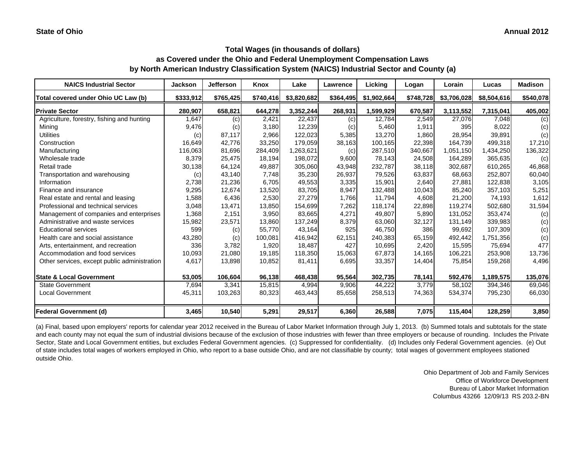| <b>NAICS Industrial Sector</b>               | Jackson   | <b>Jefferson</b> | Knox      | Lake        | Lawrence  | Lickina     | Logan     | Lorain      | Lucas       | <b>Madison</b> |
|----------------------------------------------|-----------|------------------|-----------|-------------|-----------|-------------|-----------|-------------|-------------|----------------|
| Total covered under Ohio UC Law (b)          | \$333,912 | \$765,425        | \$740.416 | \$3,820,682 | \$364,495 | \$1,902,664 | \$748,728 | \$3,706,028 | \$8,504,616 | \$540,078      |
| <b>IPrivate Sector</b>                       | 280,907   | 658,821          | 644,278   | 3,352,244   | 268,931   | 1,599,929   | 670,587   | 3,113,552   | 7,315,041   | 405,002        |
| Agriculture, forestry, fishing and hunting   | 1,647     | (c)              | 2,421     | 22,437      | (c)       | 12,784      | 2,549     | 27,076      | 7.048       | (c)            |
| Mining                                       | 9,476     | (c)              | 3,180     | 12,239      | (c)       | 5,460       | 1,911     | 395         | 8,022       | (c)            |
| <b>Utilities</b>                             | (c)       | 87,117           | 2,966     | 122,023     | 5,385     | 13,270      | 1,860     | 28,954      | 39,891      | (c)            |
| Construction                                 | 16,649    | 42,776           | 33,250    | 179,059     | 38,163    | 100,165     | 22,398    | 164,739     | 499,318     | 17,210         |
| Manufacturing                                | 116,063   | 81,696           | 284,409   | ,263,621    | (c)       | 287,510     | 340,667   | 1,051,150   | 1,434,250   | 136,322        |
| Wholesale trade                              | 8,379     | 25,475           | 18,194    | 198,072     | 9,600     | 78,143      | 24,508    | 164,289     | 365,635     | (c)            |
| Retail trade                                 | 30,138    | 64,124           | 49,887    | 305,060     | 43,948    | 232,787     | 38,118    | 302,687     | 610,265     | 46,868         |
| Transportation and warehousing               | (c)       | 43,140           | 7,748     | 35,230      | 26,937    | 79,526      | 63,837    | 68,663      | 252,807     | 60,040         |
| Information                                  | 2,738     | 21,236           | 6,705     | 49,553      | 3,335     | 15,901      | 2,640     | 27,881      | 122,838     | 3,105          |
| Finance and insurance                        | 9,295     | 12,674           | 13,520    | 83,705      | 8,947     | 132,488     | 10,043    | 85,240      | 357,103     | 5,251          |
| Real estate and rental and leasing           | 1,588     | 6,436            | 2,530     | 27,279      | 1,766     | 11,794      | 4,608     | 21,200      | 74,193      | 1,612          |
| Professional and technical services          | 3,048     | 13,471           | 13,850    | 154,699     | 7,262     | 118,174     | 22,898    | 119,274     | 502,680     | 31,594         |
| Management of companies and enterprises      | 1,368     | 2,151            | 3,950     | 83,665      | 4,271     | 49,807      | 5,890     | 131,052     | 353,474     | (c)            |
| Administrative and waste services            | 15,982    | 23,571           | 13,860    | 137,249     | 8,379     | 63,060      | 32,127    | 131,149     | 339,983     | (c)            |
| <b>Educational services</b>                  | 599       | (c)              | 55,770    | 43,164      | 925       | 46,750      | 386       | 99,692      | 107,309     | (c)            |
| Health care and social assistance            | 43,280    | (c)              | 100,081   | 416,942     | 62,151    | 240,383     | 65,159    | 492,442     | 1,751,356   | (c)            |
| Arts, entertainment, and recreation          | 336       | 3,782            | 1,920     | 18,487      | 427       | 10,695      | 2,420     | 15,595      | 75,694      | 477            |
| Accommodation and food services              | 10,093    | 21,080           | 19,185    | 118,350     | 15,063    | 67,873      | 14,165    | 106,221     | 253,908     | 13,736         |
| Other services, except public administration | 4,617     | 13,898           | 10,852    | 81,411      | 6,695     | 33,357      | 14,404    | 75,854      | 159,268     | 4,496          |
| <b>State &amp; Local Government</b>          | 53,005    | 106,604          | 96,138    | 468,438     | 95,564    | 302,735     | 78,141    | 592,476     | 1,189,575   | 135,076        |
| <b>State Government</b>                      | 7,694     | 3,341            | 15,815    | 4,994       | 9,906     | 44,222      | 3,779     | 58,102      | 394,346     | 69,046         |
| <b>Local Government</b>                      | 45,311    | 103,263          | 80,323    | 463,443     | 85,658    | 258,513     | 74,363    | 534,374     | 795,230     | 66,030         |
| <b>Federal Government (d)</b>                | 3,465     | 10,540           | 5,291     | 29,517      | 6,360     | 26,588      | 7,075     | 115,404     | 128,259     | 3,850          |

(a) Final, based upon employers' reports for calendar year 2012 received in the Bureau of Labor Market Information through July 1, 2013. (b) Summed totals and subtotals for the state and each county may not equal the sum of industrial divisions because of the exclusion of those industries with fewer than three employers or because of rounding. Includes the Private Sector, State and Local Government entities, but excludes Federal Government agencies. (c) Suppressed for confidentiality. (d) Includes only Federal Government agencies. (e) Out of state includes total wages of workers employed in Ohio, who report to a base outside Ohio, and are not classifiable by county; total wages of government employees stationed outside Ohio.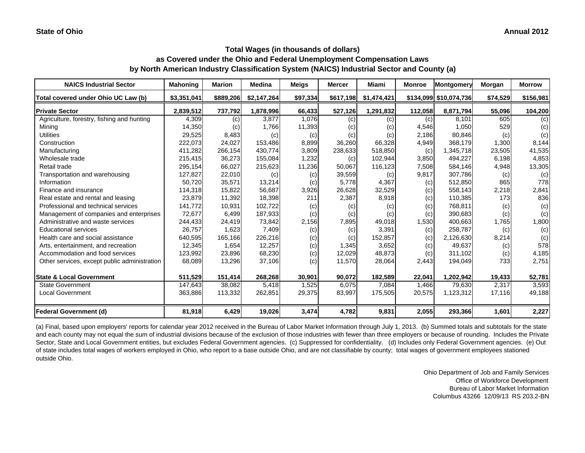# **Total Wages (in thousands of dollars) as Covered under the Ohio and Federal Unemployment Compensation Laws**

**by North American Industry Classification System (NAICS) Industrial Sector and County (a)**

| <b>NAICS Industrial Sector</b>               | <b>Mahoning</b> | <b>Marion</b> | <b>Medina</b> | Meigs    | <b>Mercer</b> | <b>Miami</b> | <b>Monroe</b> | Montgomery             | Morgan   | <b>Morrow</b> |
|----------------------------------------------|-----------------|---------------|---------------|----------|---------------|--------------|---------------|------------------------|----------|---------------|
| Total covered under Ohio UC Law (b)          | \$3,351,041     | \$889,206     | \$2,147,264   | \$97,334 | \$617,198     | \$1,474,421  |               | \$134,099 \$10,074,736 | \$74,529 | \$156,981     |
| <b>Private Sector</b>                        | 2,839,512       | 737,792       | 1,878,996     | 66,433   | 527,126       | 1,291,832    | 112,058       | 8,871,794              | 55,096   | 104,200       |
| Agriculture, forestry, fishing and hunting   | 4,309           | (c)           | 3,877         | 1,076    | (c)           | (c)          | (c)           | 8.101                  | 605      | (c)           |
| Mining                                       | 14,350          | (c)           | 1,766         | 11,393   | (c)           | (c)          | 4,546         | 1,050                  | 529      | (c)           |
| <b>Utilities</b>                             | 29,525          | 8,483         | (c)           | (c)      | (c)           | (c)          | 2,186         | 80,846                 | (c)      | (c)           |
| Construction                                 | 222,073         | 24,027        | 153,486       | 8,899    | 36,260        | 66,328       | 4,949         | 368,179                | 1,300    | 8,144         |
| Manufacturing                                | 411,282         | 266,154       | 430,774       | 3,809    | 238,633       | 518,850      | (c)           | 1,345,718              | 23,505   | 41,535        |
| Wholesale trade                              | 215,415         | 36,273        | 155,084       | 1,232    | (c)           | 102,944      | 3,850         | 494,227                | 6,198    | 4,853         |
| Retail trade                                 | 295,154         | 66,027        | 215,623       | 11,236   | 50,067        | 116,123      | 7,508         | 584,146                | 4,948    | 13,305        |
| Transportation and warehousing               | 127,827         | 22,010        | (c)           | (c)      | 39,559        | (c)          | 9,817         | 307,786                | (c)      | (c)           |
| Information                                  | 50,720          | 35,571        | 13,214        | (c)      | 5,778         | 4,367        | (c)           | 512,850                | 865      | 778           |
| Finance and insurance                        | 114,318         | 15,822        | 56,687        | 3,926    | 26,628        | 32,529       | (c)           | 558,143                | 2,218    | 2,841         |
| Real estate and rental and leasing           | 23,879          | 11,392        | 18,398        | 211      | 2,387         | 8,918        | (c)           | 110,385                | 173      | 836           |
| Professional and technical services          | 141,772         | 10,931        | 102,722       | (c)      | (c)           | (c)          | (c)           | 768.811                | (c)      | (c)           |
| Management of companies and enterprises      | 72,677          | 6,499         | 187,933       | (c)      | (c)           | (c)          | (c)           | 390,683                | (c)      | (c)           |
| Administrative and waste services            | 244,433         | 24,419        | 73,842        | 2,156    | 7,895         | 49,018       | 1,530         | 400,663                | 1,765    | 1,800         |
| <b>Educational services</b>                  | 26,757          | 1,623         | 7,409         | (c)      | (c)           | 3,391        | (c)           | 258,787                | (c)      | (c)           |
| Health care and social assistance            | 640,595         | 165,166       | 226,216       | (c)      | (c)           | 152,857      | (c)           | 2,126,630              | 8,214    | (c)           |
| Arts, entertainment, and recreation          | 12,345          | 1,654         | 12,257        | (c)      | 1,345         | 3,652        | (c)           | 49,637                 | (c)      | 578           |
| Accommodation and food services              | 123,992         | 23,896        | 68,230        | (c)      | 12,029        | 48,873       | (c)           | 311,102                | (c)      | 4,185         |
| Other services, except public administration | 68,089          | 13,296        | 37,106        | (c)      | 11,570        | 28,064       | 2,443         | 194,049                | 733      | 2,751         |
| <b>State &amp; Local Government</b>          | 511,529         | 151,414       | 268,268       | 30,901   | 90,072        | 182,589      | 22,041        | 1,202,942              | 19,433   | 52,781        |
| <b>State Government</b>                      | 147,643         | 38,082        | 5,418         | 1,525    | 6,075         | 7,084        | 1,466         | 79.630                 | 2,317    | 3,593         |
| <b>Local Government</b>                      | 363,886         | 113,332       | 262,851       | 29,375   | 83,997        | 175,505      | 20,575        | 1,123,312              | 17,116   | 49,188        |
| <b>Federal Government (d)</b>                | 81,918          | 6,429         | 19,026        | 3,474    | 4,782         | 9,831        | 2,055         | 293,366                | 1,601    | 2,227         |

(a) Final, based upon employers' reports for calendar year 2012 received in the Bureau of Labor Market Information through July 1, 2013. (b) Summed totals and subtotals for the state and each county may not equal the sum of industrial divisions because of the exclusion of those industries with fewer than three employers or because of rounding. Includes the Private Sector, State and Local Government entities, but excludes Federal Government agencies. (c) Suppressed for confidentiality. (d) Includes only Federal Government agencies. (e) Out of state includes total wages of workers employed in Ohio, who report to a base outside Ohio, and are not classifiable by county; total wages of government employees stationed outside Ohio.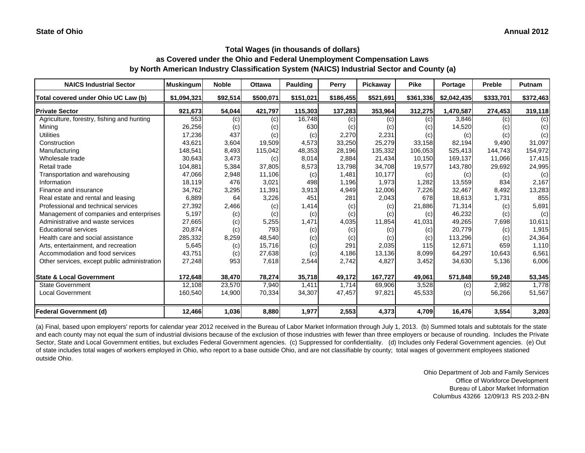| <b>NAICS Industrial Sector</b>               | <b>Muskingum</b> | <b>Noble</b> | <b>Ottawa</b> | <b>Paulding</b> | Perry     | Pickaway          | <b>Pike</b> | Portage     | Preble    | Putnam    |
|----------------------------------------------|------------------|--------------|---------------|-----------------|-----------|-------------------|-------------|-------------|-----------|-----------|
| Total covered under Ohio UC Law (b)          | \$1,094,321      | \$92,514     | \$500,071     | \$151,021       | \$186,455 | \$521,691         | \$361,336   | \$2,042,435 | \$333,701 | \$372,463 |
| <b>Private Sector</b>                        | 921,673          | 54,044       | 421,797       | 115,303         | 137,283   | 353,964           | 312,275     | 1,470,587   | 274,453   | 319,118   |
| Agriculture, forestry, fishing and hunting   | 553              | (c)          | (c)           | 16,748          | (c)       | (c)               | (c)         | 3,846       | (c)       | (c)       |
| Mining                                       | 26,256           | (c)          | (c)           | 630             | (c)       | $\left( c\right)$ | (c)         | 14,520      | (c)       | (c)       |
| <b>Utilities</b>                             | 17,236           | 437          | (c)           | (c)             | 2,270     | 2,231             | (c)         | (c)         | (c)       | (c)       |
| Construction                                 | 43,621           | 3,604        | 19,509        | 4,573           | 33,250    | 25,279            | 33,158      | 82,194      | 9,490     | 31,097    |
| Manufacturing                                | 148,541          | 8,493        | 115,042       | 48,353          | 28,196    | 135,332           | 106,053     | 525,413     | 144,743   | 154,972   |
| Wholesale trade                              | 30,643           | 3,473        | (c)           | 8,014           | 2,884     | 21,434            | 10,150      | 169,137     | 11,066    | 17,415    |
| Retail trade                                 | 104,881          | 5,384        | 37,805        | 8,573           | 13,798    | 34,708            | 19,577      | 143,780     | 29,692    | 24,995    |
| Transportation and warehousing               | 47,066           | 2,948        | 11,106        | (c)             | 1,481     | 10,177            | (c)         | (c)         | (c)       | (c)       |
| Information                                  | 18,119           | 476          | 3,021         | 498             | 1,196     | 1,973             | 1,282       | 13,559      | 834       | 2,167     |
| Finance and insurance                        | 34,762           | 3,295        | 11,391        | 3,913           | 4,949     | 12,006            | 7,226       | 32,467      | 8,492     | 13,283    |
| Real estate and rental and leasing           | 6,889            | 64           | 3,226         | 451             | 281       | 2,043             | 678         | 18,613      | 1,731     | 855       |
| Professional and technical services          | 27,392           | 2,466        | (c)           | 1,414           | (c)       | (c)               | 21,886      | 71,314      | (c)       | 5,691     |
| Management of companies and enterprises      | 5,197            | (c)          | (c)           | (c)             | (c)       | (c)               | (c)         | 46,232      | (c)       | (c)       |
| Administrative and waste services            | 27,665           | (c)          | 5,255         | 1,471           | 4,035     | 11,854            | 41,031      | 49,265      | 7,698     | 10,611    |
| <b>Educational services</b>                  | 20,874           | (c)          | 793           | (c)             | (c)       | (c)               | (c)         | 20,779      | (c)       | 1,915     |
| Health care and social assistance            | 285,332          | 8,259        | 48,540        | (c)             | (c)       | (c)               | (c)         | 113,296     | (c)       | 24,364    |
| Arts, entertainment, and recreation          | 5,645            | (c)          | 15,716        | (c)             | 291       | 2,035             | 115         | 12,671      | 659       | 1,110     |
| Accommodation and food services              | 43,751           | (c)          | 27,638        | (c)             | 4,186     | 13,136            | 8,099       | 64,297      | 10,643    | 6,561     |
| Other services, except public administration | 27,248           | 953          | 7,618         | 2,544           | 2,742     | 4,827             | 3,452       | 34,630      | 5,136     | 6,006     |
| <b>State &amp; Local Government</b>          | 172,648          | 38,470       | 78,274        | 35,718          | 49,172    | 167,727           | 49,061      | 571,848     | 59,248    | 53,345    |
| <b>State Government</b>                      | 12,108           | 23,570       | 7,940         | 1,411           | 1,714     | 69,906            | 3,528       | (c)         | 2,982     | 1,778     |
| <b>Local Government</b>                      | 160,540          | 14,900       | 70,334        | 34,307          | 47,457    | 97,821            | 45,533      | (c)         | 56,266    | 51,567    |
| <b>Federal Government (d)</b>                | 12,466           | 1,036        | 8,880         | 1,977           | 2,553     | 4,373             | 4,709       | 16,476      | 3,554     | 3,203     |

(a) Final, based upon employers' reports for calendar year 2012 received in the Bureau of Labor Market Information through July 1, 2013. (b) Summed totals and subtotals for the state and each county may not equal the sum of industrial divisions because of the exclusion of those industries with fewer than three employers or because of rounding. Includes the Private Sector, State and Local Government entities, but excludes Federal Government agencies. (c) Suppressed for confidentiality. (d) Includes only Federal Government agencies. (e) Out of state includes total wages of workers employed in Ohio, who report to a base outside Ohio, and are not classifiable by county; total wages of government employees stationed outside Ohio.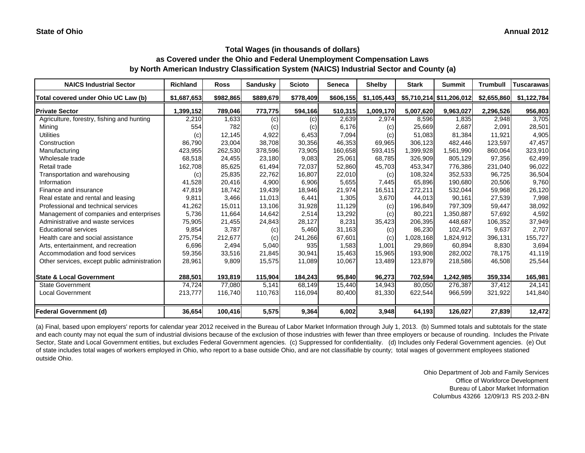### **Annual 2012**

# **Total Wages (in thousands of dollars) as Covered under the Ohio and Federal Unemployment Compensation Laws by North American Industry Classification System (NAICS) Industrial Sector and County (a)**

| <b>NAICS Industrial Sector</b>               | <b>Richland</b> | <b>Ross</b> | Sandusky  | <b>Scioto</b> | <b>Seneca</b> | <b>Shelby</b> | <b>Stark</b> | <b>Summit</b>            | <b>Trumbull</b> | <b>Tuscarawas</b> |
|----------------------------------------------|-----------------|-------------|-----------|---------------|---------------|---------------|--------------|--------------------------|-----------------|-------------------|
| Total covered under Ohio UC Law (b)          | \$1,687,653     | \$982,865   | \$889,679 | \$778,409     | \$606,155     | \$1,105,443   |              | \$5,710,214 \$11,206,012 | \$2,655,860     | \$1,122,784       |
| <b>Private Sector</b>                        | 1,399,152       | 789,046     | 773,775   | 594,166       | 510,315       | 1,009,170     | 5,007,620    | 9,963,027                | 2,296,526       | 956,803           |
| Agriculture, forestry, fishing and hunting   | 2,210           | 1,633       | (c)       | (c)           | 2,639         | 2,974         | 8,596        | 1,835                    | 2,948           | 3,705             |
| Mining                                       | 554             | 782         | (c)       | (c)           | 6,176         | (c)           | 25,669       | 2,687                    | 2,091           | 28,501            |
| <b>Utilities</b>                             | (c)             | 12,145      | 4,922     | 6,453         | 7,094         | (c)           | 51,083       | 81,384                   | 11,921          | 4,905             |
| Construction                                 | 86,790          | 23,004      | 38.708    | 30,356        | 46,353        | 69,965        | 306,123      | 482.446                  | 123,597         | 47,457            |
| Manufacturing                                | 423,955         | 262,530     | 378,596   | 73,905        | 160,658       | 593,415       | 399,928      | 1,561,990                | 860,064         | 323,910           |
| Wholesale trade                              | 68,518          | 24,455      | 23,180    | 9,083         | 25,061        | 68,785        | 326,909      | 805,129                  | 97,356          | 62,499            |
| Retail trade                                 | 162,708         | 85,625      | 61,494    | 72,037        | 52,860        | 45,703        | 453,347      | 776,386                  | 231,040         | 96,022            |
| Transportation and warehousing               | (c)             | 25,835      | 22,762    | 16,807        | 22,010        | (c)           | 108,324      | 352,533                  | 96,725          | 36,504            |
| Information                                  | 41,528          | 20,416      | 4,900     | 6,906         | 5,655         | 7,445         | 65,896       | 190,680                  | 20,506          | 9,760             |
| Finance and insurance                        | 47,819          | 18,742      | 19,439    | 18,946        | 21,974        | 16,511        | 272,211      | 532,044                  | 59,968          | 26,120            |
| Real estate and rental and leasing           | 9,811           | 3,466       | 11,013    | 6,441         | 1,305         | 3,670         | 44,013       | 90,161                   | 27,539          | 7,998             |
| Professional and technical services          | 41,262          | 15,011      | 13,106    | 31,928        | 11,129        | (c)           | 196,849      | 797,309                  | 59,447          | 38,092            |
| Management of companies and enterprises      | 5,736           | 11,664      | 14,642    | 2,514         | 13,292        | (c)           | 80,221       | 1,350,887                | 57,692          | 4,592             |
| Administrative and waste services            | 75,905          | 21,455      | 24,843    | 28,127        | 8,231         | 35,423        | 206,395      | 448,687                  | 106,352         | 37,949            |
| <b>Educational services</b>                  | 9,854           | 3,787       | (c)       | 5,460         | 31,163        | (c)           | 86,230       | 102,475                  | 9,637           | 2,707             |
| Health care and social assistance            | 275,754         | 212,677     | (c)       | 241,266       | 67,601        | (c)           | 1,028,168    | 1,824,912                | 396,131         | 155,727           |
| Arts, entertainment, and recreation          | 6,696           | 2,494       | 5,040     | 935           | 1,583         | 1,001         | 29,869       | 60,894                   | 8,830           | 3,694             |
| Accommodation and food services              | 59,356          | 33,516      | 21,845    | 30,941        | 15,463        | 15,965        | 193,908      | 282,002                  | 78,175          | 41,119            |
| Other services, except public administration | 28,961          | 9,809       | 15,575    | 11,089        | 10,067        | 13,489        | 123,879      | 218,586                  | 46,508          | 25,544            |
| <b>State &amp; Local Government</b>          | 288,501         | 193,819     | 115,904   | 184,243       | 95,840        | 96,273        | 702,594      | 1,242,985                | 359,334         | 165,981           |
| <b>State Government</b>                      | 74,724          | 77,080      | 5,141     | 68,149        | 15,440        | 14,943        | 80,050       | 276,387                  | 37,412          | 24,141            |
| <b>Local Government</b>                      | 213,777         | 116,740     | 110,763   | 116,094       | 80,400        | 81,330        | 622,544      | 966,599                  | 321,922         | 141,840           |
| <b>Federal Government (d)</b>                | 36,654          | 100,416     | 5,575     | 9,364         | 6,002         | 3,948         | 64,193       | 126,027                  | 27,839          | 12,472            |

(a) Final, based upon employers' reports for calendar year 2012 received in the Bureau of Labor Market Information through July 1, 2013. (b) Summed totals and subtotals for the state and each county may not equal the sum of industrial divisions because of the exclusion of those industries with fewer than three employers or because of rounding. Includes the Private Sector, State and Local Government entities, but excludes Federal Government agencies. (c) Suppressed for confidentiality. (d) Includes only Federal Government agencies. (e) Out of state includes total wages of workers employed in Ohio, who report to a base outside Ohio, and are not classifiable by county; total wages of government employees stationed outside Ohio.